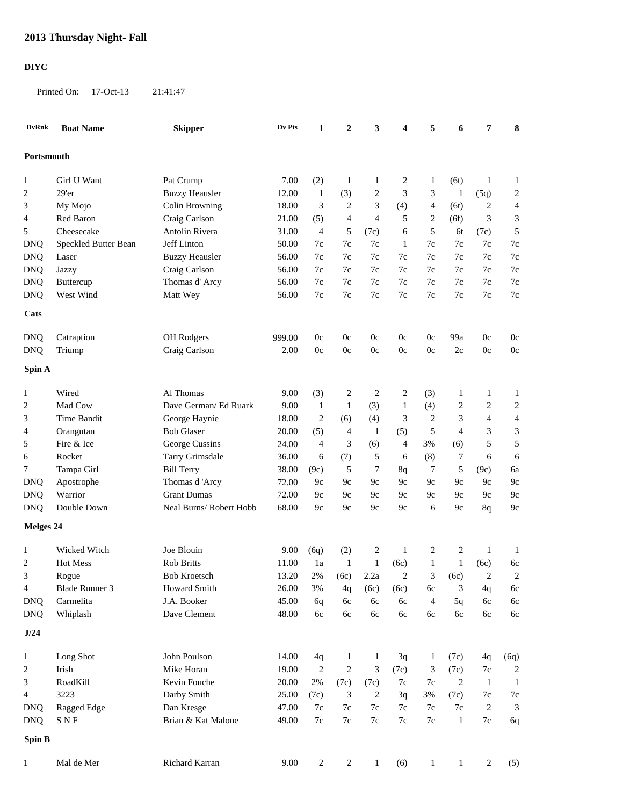## **DIYC**

Printed On: 17-Oct-13 21:41:47

| <b>DvRnk</b> | <b>Boat Name</b>     | <b>Skipper</b>         | Dv Pts | 1              | $\boldsymbol{2}$ | 3              | 4              | 5              | 6              | 7              | 8                        |
|--------------|----------------------|------------------------|--------|----------------|------------------|----------------|----------------|----------------|----------------|----------------|--------------------------|
| Portsmouth   |                      |                        |        |                |                  |                |                |                |                |                |                          |
| 1            | Girl U Want          | Pat Crump              | 7.00   | (2)            | 1                | 1              | 2              | $\mathbf{1}$   | (6t)           | 1              | $\mathbf{1}$             |
| 2            | 29'er                | <b>Buzzy Heausler</b>  | 12.00  | $\mathbf{1}$   | (3)              | $\overline{c}$ | 3              | 3              | $\mathbf{1}$   | (5q)           | 2                        |
| 3            | My Mojo              | Colin Browning         | 18.00  | 3              | $\overline{c}$   | 3              | (4)            | $\overline{4}$ | (6t)           | 2              | $\overline{4}$           |
| 4            | Red Baron            | Craig Carlson          | 21.00  | (5)            | 4                | $\overline{4}$ | 5              | $\overline{c}$ | (6f)           | 3              | 3                        |
| 5            | Cheesecake           | Antolin Rivera         | 31.00  | $\overline{4}$ | 5                | (7c)           | 6              | $\sqrt{5}$     | 6t             | (7c)           | 5                        |
| <b>DNQ</b>   | Speckled Butter Bean | Jeff Linton            | 50.00  | 7c             | 7c               | 7c             | 1              | $7\mathrm{c}$  | 7c             | 7c             | $7\mathrm{c}$            |
| <b>DNQ</b>   | Laser                | <b>Buzzy Heausler</b>  | 56.00  | 7c             | 7c               | 7c             | $7\mathrm{c}$  | $7\mathrm{c}$  | $7c$           | 7c             | $7\mathrm{c}$            |
| <b>DNQ</b>   | Jazzy                | Craig Carlson          | 56.00  | 7c             | 7c               | 7c             | 7c             | 7c             | 7c             | 7c             | $7\mathrm{c}$            |
| <b>DNQ</b>   | Buttercup            | Thomas d'Arcy          | 56.00  | 7c             | 7c               | 7c             | 7c             | 7c             | 7c             | 7c             | 7c                       |
| <b>DNQ</b>   | West Wind            | Matt Wey               | 56.00  | 7c             | 7c               | 7c             | 7c             | $7\mathrm{c}$  | $7c$           | 7c             | 7c                       |
| Cats         |                      |                        |        |                |                  |                |                |                |                |                |                          |
| <b>DNQ</b>   | Catraption           | OH Rodgers             | 999.00 | 0c             | 0c               | 0c             | 0 <sub>c</sub> | 0c             | 99a            | 0c             | 0c                       |
| <b>DNQ</b>   | Triump               | Craig Carlson          | 2.00   | 0 <sub>c</sub> | 0c               | 0c             | 0 <sub>c</sub> | $0\mathrm{c}$  | 2c             | 0c             | 0c                       |
| Spin A       |                      |                        |        |                |                  |                |                |                |                |                |                          |
|              |                      |                        |        |                |                  |                |                |                |                |                |                          |
| 1            | Wired                | Al Thomas              | 9.00   | (3)            | 2                | $\overline{c}$ | 2              | (3)            | $\mathbf{1}$   | 1              | $\mathbf{1}$             |
| 2            | Mad Cow              | Dave German/ Ed Ruark  | 9.00   | $\mathbf{1}$   | $\mathbf{1}$     | (3)            | $\mathbf{1}$   | (4)            | 2              | $\overline{c}$ | 2                        |
| 3            | Time Bandit          | George Haynie          | 18.00  | 2              | (6)              | (4)            | 3              | $\overline{c}$ | $\mathfrak{Z}$ | 4              | $\overline{\mathcal{L}}$ |
| 4            | Orangutan            | <b>Bob Glaser</b>      | 20.00  | (5)            | 4                | $\mathbf{1}$   | (5)            | 5              | $\overline{4}$ | 3              | 3                        |
| 5            | Fire & Ice           | George Cussins         | 24.00  | $\overline{4}$ | 3                | (6)            | 4              | 3%             | (6)            | 5              | 5                        |
| 6            | Rocket               | Tarry Grimsdale        | 36.00  | 6              | (7)              | 5              | 6              | (8)            | $\tau$         | 6              | 6                        |
| 7            | Tampa Girl           | <b>Bill Terry</b>      | 38.00  | (9c)           | 5                | 7              | 8q             | 7              | 5              | (9c)           | 6a                       |
| <b>DNQ</b>   | Apostrophe           | Thomas d'Arcy          | 72.00  | 9c             | 9c               | 9c             | 9c             | 9c             | 9c             | 9c             | 9c                       |
| <b>DNQ</b>   | Warrior              | <b>Grant Dumas</b>     | 72.00  | 9c             | 9c               | 9c             | 9c             | 9c             | 9c             | 9c             | 9c                       |
| <b>DNQ</b>   | Double Down          | Neal Burns/Robert Hobb | 68.00  | 9c             | 9c               | 9c             | 9c             | 6              | 9c             | 8q             | 9c                       |
| Melges 24    |                      |                        |        |                |                  |                |                |                |                |                |                          |
| 1            | Wicked Witch         | Joe Blouin             | 9.00   | (6q)           | (2)              | $\overline{c}$ | 1              | 2              | 2              | 1              | $\mathbf{1}$             |
| 2            | <b>Hot Mess</b>      | <b>Rob Britts</b>      | 11.00  | 1a             | 1                | $\mathbf{1}$   | (6c)           | $\mathbf{1}$   | $\mathbf{1}$   | (6c)           | 6c                       |
| 3            | Rogue                | <b>Bob Kroetsch</b>    | 13.20  | 2%             | (6c)             | 2.2a           | $\overline{c}$ | 3              | (6c)           | $\overline{2}$ | $\overline{2}$           |
| 4            | Blade Runner 3       | Howard Smith           | 26.00  | 3%             | 4q               | (6c)           | (6c)           | 6c             | 3              | 4q             | 6c                       |
| <b>DNQ</b>   | Carmelita            | J.A. Booker            | 45.00  | 6q             | 6c               | 6c             | 6c             | $\overline{4}$ | 5q             | 6c             | 6c                       |
| <b>DNQ</b>   | Whiplash             | Dave Clement           | 48.00  | 6c             | 6c               | 6c             | 6c             | $6c$           | 6c             | 6c             | 6c                       |
| J/24         |                      |                        |        |                |                  |                |                |                |                |                |                          |
| $\mathbf{1}$ | Long Shot            | John Poulson           | 14.00  | 4q             | $\mathbf{1}$     | $\mathbf{1}$   | 3q             | $\mathbf{1}$   | (7c)           | 4q             | (6q)                     |
| 2            | Irish                | Mike Horan             | 19.00  | $\sqrt{2}$     | 2                | 3              | (7c)           | 3              | (7c)           | 7c             | 2                        |
| 3            | RoadKill             | Kevin Fouche           | 20.00  | 2%             | (7c)             | (7c)           | 7c             | 7c             | $\overline{2}$ | $\mathbf{1}$   | $\mathbf{1}$             |
| 4            | 3223                 | Darby Smith            | 25.00  | (7c)           | 3                | 2              | 3q             | $3%$           | (7c)           | 7c             | $7\mathrm{c}$            |
| <b>DNQ</b>   | Ragged Edge          | Dan Kresge             | 47.00  | $7\mathrm{c}$  | $7\mathrm{c}$    | 7c             | 7c             | $7\mathrm{c}$  | $7\mathrm{c}$  | 2              | 3                        |
| <b>DNQ</b>   | <b>SNF</b>           | Brian & Kat Malone     | 49.00  | 7c             | $7\mathrm{c}$    | 7c             | $7\mathrm{c}$  | $7\mathrm{c}$  | $\mathbf{1}$   | $7\mathrm{c}$  | 6q                       |
| Spin B       |                      |                        |        |                |                  |                |                |                |                |                |                          |
| $\mathbf{1}$ | Mal de Mer           | Richard Karran         | 9.00   | $\overline{c}$ | 2                | $\mathbf{1}$   | (6)            | 1              | $\mathbf{1}$   | $\overline{c}$ | (5)                      |